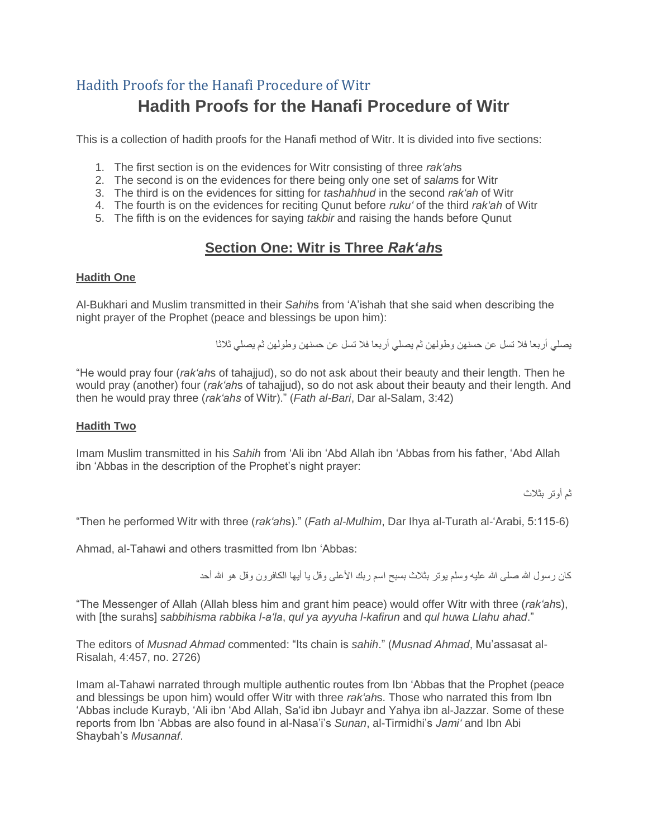# Hadith Proofs for the Hanafi Procedure of Witr **Hadith Proofs for the Hanafi Procedure of Witr**

This is a collection of hadith proofs for the Hanafi method of Witr. It is divided into five sections:

- 1. The first section is on the evidences for Witr consisting of three *rak'ah*s
- 2. The second is on the evidences for there being only one set of *salam*s for Witr
- 3. The third is on the evidences for sitting for *tashahhud* in the second *rak'ah* of Witr
- 4. The fourth is on the evidences for reciting Qunut before *ruku'* of the third *rak'ah* of Witr
- 5. The fifth is on the evidences for saying *takbir* and raising the hands before Qunut

## **Section One: Witr is Three** *Rak'ah***s**

#### **Hadith One**

Al-Bukhari and Muslim transmitted in their *Sahih*s from 'A'ishah that she said when describing the night prayer of the Prophet (peace and blessings be upon him):

يصلي أربعا فال تسل عن حسنهن وطولهن ثم يصلي أربعا فال تسل عن حسنهن وطولهن ثم يصلي ثالثا

"He would pray four (*rak'ah*s of tahajjud), so do not ask about their beauty and their length. Then he would pray (another) four (*rak'ah*s of tahajjud), so do not ask about their beauty and their length. And then he would pray three (*rak'ahs* of Witr)." (*Fath al-Bari*, Dar al-Salam, 3:42)

## **Hadith Two**

Imam Muslim transmitted in his *Sahih* from 'Ali ibn 'Abd Allah ibn 'Abbas from his father, 'Abd Allah ibn 'Abbas in the description of the Prophet's night prayer:

ثم أوتر بثالث

"Then he performed Witr with three (*rak'ah*s)." (*Fath al-Mulhim*, Dar Ihya al-Turath al-'Arabi, 5:115-6)

Ahmad, al-Tahawi and others trasmitted from Ibn 'Abbas:

كان رسول الله صلى الله عليه وسلم يوتر بثلاث بسبح اسم ربك الأعلى وقل يا أيها الكافرون وقل هو الله أحد

"The Messenger of Allah (Allah bless him and grant him peace) would offer Witr with three (*rak'ah*s), with [the surahs] *sabbihisma rabbika l-a'la*, *qul ya ayyuha l-kafirun* and *qul huwa Llahu ahad*."

The editors of *Musnad Ahmad* commented: "Its chain is *sahih*." (*Musnad Ahmad*, Mu'assasat al-Risalah, 4:457, no. 2726)

Imam al-Tahawi narrated through multiple authentic routes from Ibn 'Abbas that the Prophet (peace and blessings be upon him) would offer Witr with three *rak'ah*s. Those who narrated this from Ibn 'Abbas include Kurayb, 'Ali ibn 'Abd Allah, Sa'id ibn Jubayr and Yahya ibn al-Jazzar. Some of these reports from Ibn 'Abbas are also found in al-Nasa'i's *Sunan*, al-Tirmidhi's *Jami'* and Ibn Abi Shaybah's *Musannaf*.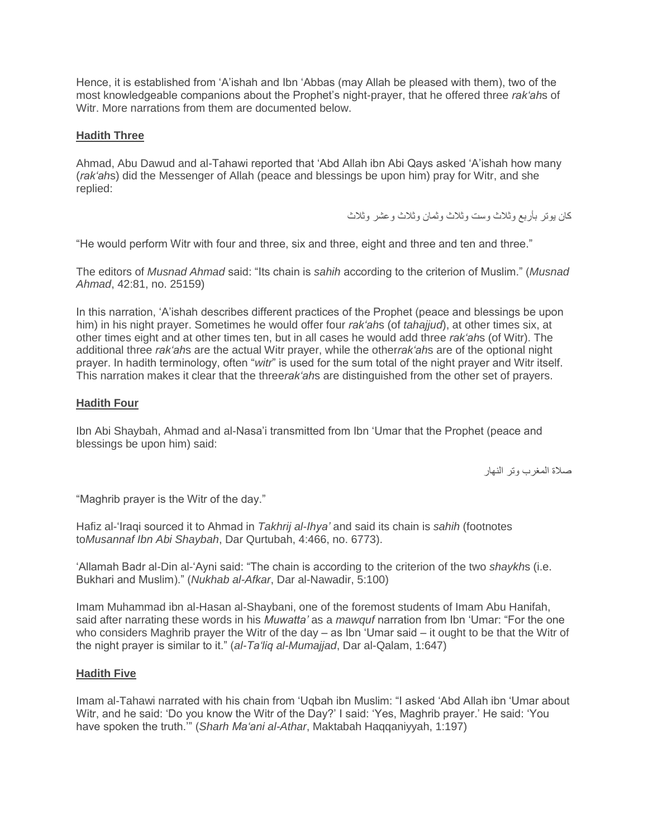Hence, it is established from 'A'ishah and Ibn 'Abbas (may Allah be pleased with them), two of the most knowledgeable companions about the Prophet's night-prayer, that he offered three *rak'ah*s of Witr. More narrations from them are documented below.

## **Hadith Three**

Ahmad, Abu Dawud and al-Tahawi reported that 'Abd Allah ibn Abi Qays asked 'A'ishah how many (*rak'ah*s) did the Messenger of Allah (peace and blessings be upon him) pray for Witr, and she replied:

كان يوتر بأربع وثالث وست وثالث وثمان وثالث وعشر وثالث

"He would perform Witr with four and three, six and three, eight and three and ten and three."

The editors of *Musnad Ahmad* said: "Its chain is *sahih* according to the criterion of Muslim." (*Musnad Ahmad*, 42:81, no. 25159)

In this narration, 'A'ishah describes different practices of the Prophet (peace and blessings be upon him) in his night prayer. Sometimes he would offer four *rak'ah*s (of *tahajjud*), at other times six, at other times eight and at other times ten, but in all cases he would add three *rak'ah*s (of Witr). The additional three *rak'ah*s are the actual Witr prayer, while the other*rak'ah*s are of the optional night prayer. In hadith terminology, often "*witr*" is used for the sum total of the night prayer and Witr itself. This narration makes it clear that the three*rak'ah*s are distinguished from the other set of prayers.

## **Hadith Four**

Ibn Abi Shaybah, Ahmad and al-Nasa'i transmitted from Ibn 'Umar that the Prophet (peace and blessings be upon him) said:

صالة المغرب وتر النهار

"Maghrib prayer is the Witr of the day."

Hafiz al-'Iraqi sourced it to Ahmad in *Takhrij al-Ihya'* and said its chain is *sahih* (footnotes to*Musannaf Ibn Abi Shaybah*, Dar Qurtubah, 4:466, no. 6773).

'Allamah Badr al-Din al-'Ayni said: "The chain is according to the criterion of the two *shaykh*s (i.e. Bukhari and Muslim)." (*Nukhab al-Afkar*, Dar al-Nawadir, 5:100)

Imam Muhammad ibn al-Hasan al-Shaybani, one of the foremost students of Imam Abu Hanifah, said after narrating these words in his *Muwatta'* as a *mawquf* narration from Ibn 'Umar: "For the one who considers Maghrib prayer the Witr of the day – as Ibn 'Umar said – it ought to be that the Witr of the night prayer is similar to it." (*al-Ta'liq al-Mumajjad*, Dar al-Qalam, 1:647)

## **Hadith Five**

Imam al-Tahawi narrated with his chain from 'Uqbah ibn Muslim: "I asked 'Abd Allah ibn 'Umar about Witr, and he said: 'Do you know the Witr of the Day?' I said: 'Yes, Maghrib prayer.' He said: 'You have spoken the truth.'" (*Sharh Ma'ani al-Athar*, Maktabah Haqqaniyyah, 1:197)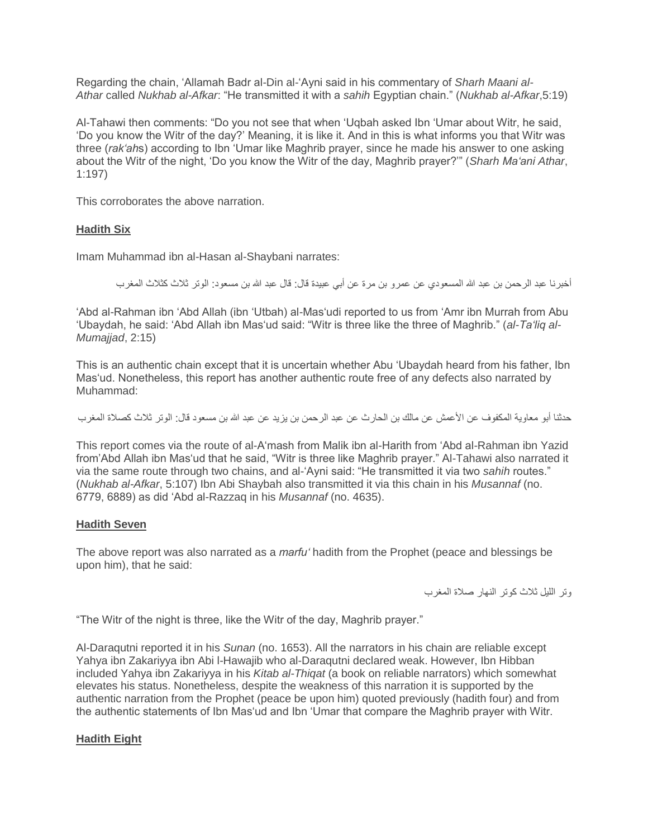Regarding the chain, 'Allamah Badr al-Din al-'Ayni said in his commentary of *Sharh Maani al-Athar* called *Nukhab al-Afkar*: "He transmitted it with a *sahih* Egyptian chain." (*Nukhab al-Afkar*,5:19)

Al-Tahawi then comments: "Do you not see that when 'Uqbah asked Ibn 'Umar about Witr, he said, 'Do you know the Witr of the day?' Meaning, it is like it. And in this is what informs you that Witr was three (*rak'ah*s) according to Ibn 'Umar like Maghrib prayer, since he made his answer to one asking about the Witr of the night, 'Do you know the Witr of the day, Maghrib prayer?'" (*Sharh Ma'ani Athar*, 1:197)

This corroborates the above narration.

## **Hadith Six**

Imam Muhammad ibn al-Hasan al-Shaybani narrates:

أخبرنا عبد الرحمن بن عبد الله المسعودي عن عمرو بن مرة عن أبي عبيدة قال: قال عبد الله بن مسعود: الوتر ثلاث كثلاث المغرب

'Abd al-Rahman ibn 'Abd Allah (ibn 'Utbah) al-Mas'udi reported to us from 'Amr ibn Murrah from Abu 'Ubaydah, he said: 'Abd Allah ibn Mas'ud said: "Witr is three like the three of Maghrib." (*al-Ta'liq al-Mumajjad*, 2:15)

This is an authentic chain except that it is uncertain whether Abu 'Ubaydah heard from his father, Ibn Mas'ud. Nonetheless, this report has another authentic route free of any defects also narrated by Muhammad:

حدثنا أبو معاوية المكفوف عن الأعمش عن مالك بن الحارث عن عبد الرحمن بن يزيد عن عبد الله بن مسعود قال: الوتر ثلاث كصلاة المغرب

This report comes via the route of al-A'mash from Malik ibn al-Harith from 'Abd al-Rahman ibn Yazid from'Abd Allah ibn Mas'ud that he said, "Witr is three like Maghrib prayer." Al-Tahawi also narrated it via the same route through two chains, and al-'Ayni said: "He transmitted it via two *sahih* routes." (*Nukhab al-Afkar*, 5:107) Ibn Abi Shaybah also transmitted it via this chain in his *Musannaf* (no. 6779, 6889) as did 'Abd al-Razzaq in his *Musannaf* (no. 4635).

#### **Hadith Seven**

The above report was also narrated as a *marfu'* hadith from the Prophet (peace and blessings be upon him), that he said:

وتر الليل ثالث كوتر النهار صالة المغرب

"The Witr of the night is three, like the Witr of the day, Maghrib prayer."

Al-Daraqutni reported it in his *Sunan* (no. 1653). All the narrators in his chain are reliable except Yahya ibn Zakariyya ibn Abi l-Hawajib who al-Daraqutni declared weak. However, Ibn Hibban included Yahya ibn Zakariyya in his *Kitab al-Thiqat* (a book on reliable narrators) which somewhat elevates his status. Nonetheless, despite the weakness of this narration it is supported by the authentic narration from the Prophet (peace be upon him) quoted previously (hadith four) and from the authentic statements of Ibn Mas'ud and Ibn 'Umar that compare the Maghrib prayer with Witr.

#### **Hadith Eight**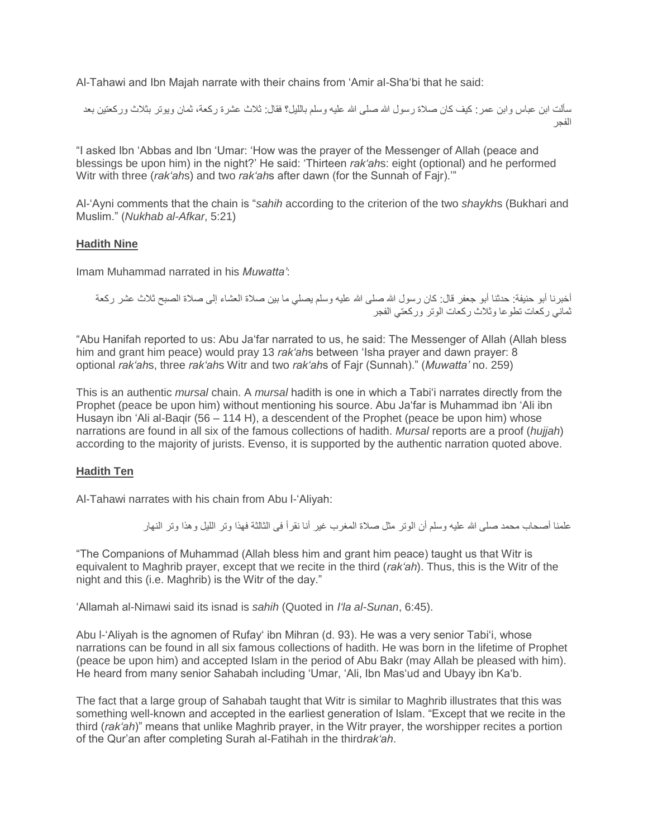Al-Tahawi and Ibn Majah narrate with their chains from 'Amir al-Sha'bi that he said:

سألت ابن عباس وابن عمر: كيف كان صلاة رسول الله صلى الله عليه وسلم بالليل؟ فقال: ثلاث عشرة ركعة، ثمان ويوتر بثلاث وركعتين بعد الفجر

"I asked Ibn 'Abbas and Ibn 'Umar: 'How was the prayer of the Messenger of Allah (peace and blessings be upon him) in the night?' He said: 'Thirteen *rak'ah*s: eight (optional) and he performed Witr with three (*rak'ah*s) and two *rak'ah*s after dawn (for the Sunnah of Fajr).'"

Al-'Ayni comments that the chain is "*sahih* according to the criterion of the two *shaykh*s (Bukhari and Muslim." (*Nukhab al-Afkar*, 5:21)

## **Hadith Nine**

Imam Muhammad narrated in his *Muwatta'*:

أخبرنا أبو حنيفة: حدثنا أبو جعفر قال: كان رسول الله صلى الله عليه وسلم يصلي ما بين صلاة العشاء إلى صلاة الصبح ثلاث عشر ركعة ثماني ركعات تطوعا وثالث ركعات الوتر وركعتي الفجر

"Abu Hanifah reported to us: Abu Ja'far narrated to us, he said: The Messenger of Allah (Allah bless him and grant him peace) would pray 13 *rak'ah*s between 'Isha prayer and dawn prayer: 8 optional *rak'ah*s, three *rak'ah*s Witr and two *rak'ah*s of Fajr (Sunnah)." (*Muwatta'* no. 259)

This is an authentic *mursal* chain. A *mursal* hadith is one in which a Tabi'i narrates directly from the Prophet (peace be upon him) without mentioning his source. Abu Ja'far is Muhammad ibn 'Ali ibn Husayn ibn 'Ali al-Baqir (56 – 114 H), a descendent of the Prophet (peace be upon him) whose narrations are found in all six of the famous collections of hadith. *Mursal* reports are a proof (*hujjah*) according to the majority of jurists. Evenso, it is supported by the authentic narration quoted above.

## **Hadith Ten**

Al-Tahawi narrates with his chain from Abu l-'Aliyah:

علمنا أصبحاب محمد صلى الله عليه وسلم أن الوتر مثل صلاة المغرب غير أنا نقرأ فى الثالثة فهذا وتر الليل وهذا وتر النهار

"The Companions of Muhammad (Allah bless him and grant him peace) taught us that Witr is equivalent to Maghrib prayer, except that we recite in the third (*rak'ah*). Thus, this is the Witr of the night and this (i.e. Maghrib) is the Witr of the day."

'Allamah al-Nimawi said its isnad is *sahih* (Quoted in *I'la al-Sunan*, 6:45).

Abu l-'Aliyah is the agnomen of Rufay' ibn Mihran (d. 93). He was a very senior Tabi'i, whose narrations can be found in all six famous collections of hadith. He was born in the lifetime of Prophet (peace be upon him) and accepted Islam in the period of Abu Bakr (may Allah be pleased with him). He heard from many senior Sahabah including 'Umar, 'Ali, Ibn Mas'ud and Ubayy ibn Ka'b.

The fact that a large group of Sahabah taught that Witr is similar to Maghrib illustrates that this was something well-known and accepted in the earliest generation of Islam. "Except that we recite in the third (*rak'ah*)" means that unlike Maghrib prayer, in the Witr prayer, the worshipper recites a portion of the Qur'an after completing Surah al-Fatihah in the third*rak'ah*.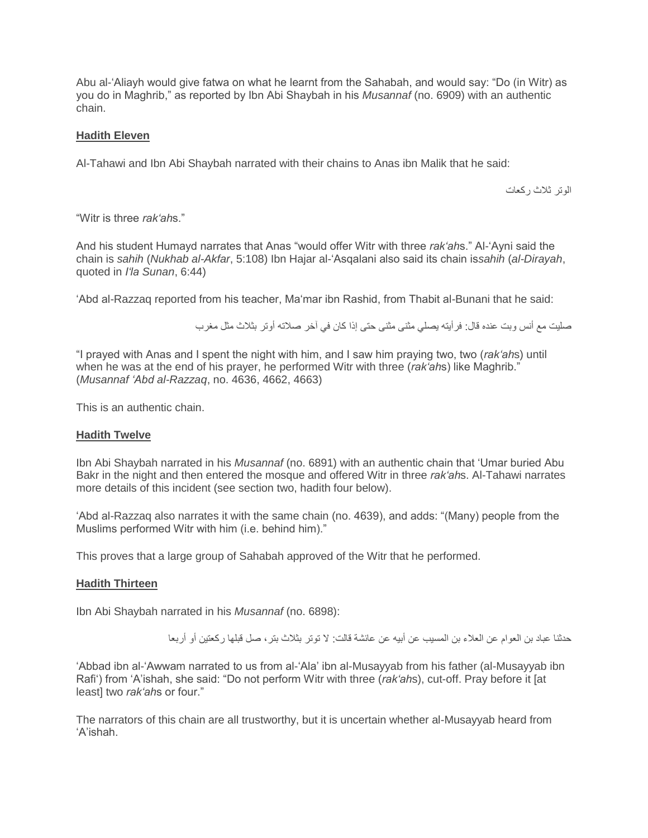Abu al-'Aliayh would give fatwa on what he learnt from the Sahabah, and would say: "Do (in Witr) as you do in Maghrib," as reported by Ibn Abi Shaybah in his *Musannaf* (no. 6909) with an authentic chain.

## **Hadith Eleven**

Al-Tahawi and Ibn Abi Shaybah narrated with their chains to Anas ibn Malik that he said:

الوتر ثالث ركعات

"Witr is three *rak'ah*s."

And his student Humayd narrates that Anas "would offer Witr with three *rak'ah*s." Al-'Ayni said the chain is *sahih* (*Nukhab al-Akfar*, 5:108) Ibn Hajar al-'Asqalani also said its chain is*sahih* (*al-Dirayah*, quoted in *I'la Sunan*, 6:44)

'Abd al-Razzaq reported from his teacher, Ma'mar ibn Rashid, from Thabit al-Bunani that he said:

صليت مع أنس وبت عنده قال: فرأيته يصلي مثنى مثنى حتى إذا كان في آخر صالته أوتر بثالث مثل مغرب

"I prayed with Anas and I spent the night with him, and I saw him praying two, two (*rak'ah*s) until when he was at the end of his prayer, he performed Witr with three (*rak'ah*s) like Maghrib." (*Musannaf 'Abd al-Razzaq*, no. 4636, 4662, 4663)

This is an authentic chain.

#### **Hadith Twelve**

Ibn Abi Shaybah narrated in his *Musannaf* (no. 6891) with an authentic chain that 'Umar buried Abu Bakr in the night and then entered the mosque and offered Witr in three *rak'ah*s. Al-Tahawi narrates more details of this incident (see section two, hadith four below).

'Abd al-Razzaq also narrates it with the same chain (no. 4639), and adds: "(Many) people from the Muslims performed Witr with him (i.e. behind him)."

This proves that a large group of Sahabah approved of the Witr that he performed.

#### **Hadith Thirteen**

Ibn Abi Shaybah narrated in his *Musannaf* (no. 6898):

حدثنا عباد بن العوام عن العالء بن المسيب عن أبيه عن عائشة قالت: ال توتر بثالث بتر، صل قبلها ركعتين أو أربعا

'Abbad ibn al-'Awwam narrated to us from al-'Ala' ibn al-Musayyab from his father (al-Musayyab ibn Rafi') from 'A'ishah, she said: "Do not perform Witr with three (*rak'ah*s), cut-off. Pray before it [at least] two *rak'ah*s or four."

The narrators of this chain are all trustworthy, but it is uncertain whether al-Musayyab heard from 'A'ishah.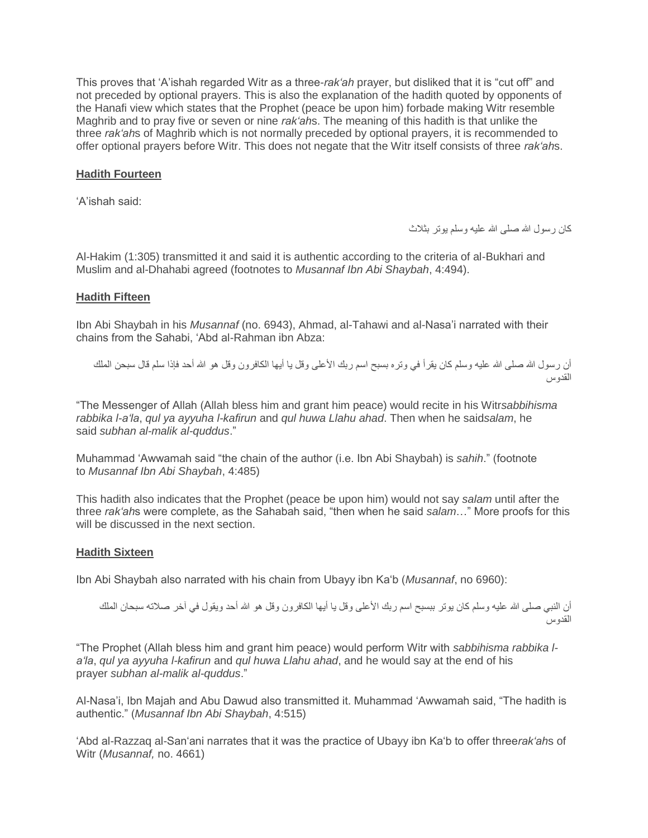This proves that 'A'ishah regarded Witr as a three-*rak'ah* prayer, but disliked that it is "cut off" and not preceded by optional prayers. This is also the explanation of the hadith quoted by opponents of the Hanafi view which states that the Prophet (peace be upon him) forbade making Witr resemble Maghrib and to pray five or seven or nine *rak'ah*s. The meaning of this hadith is that unlike the three *rak'ah*s of Maghrib which is not normally preceded by optional prayers, it is recommended to offer optional prayers before Witr. This does not negate that the Witr itself consists of three *rak'ah*s.

## **Hadith Fourteen**

'A'ishah said:

كان رسول الله صلى الله عليه وسلم يوتر بثلاث

Al-Hakim (1:305) transmitted it and said it is authentic according to the criteria of al-Bukhari and Muslim and al-Dhahabi agreed (footnotes to *Musannaf Ibn Abi Shaybah*, 4:494).

#### **Hadith Fifteen**

Ibn Abi Shaybah in his *Musannaf* (no. 6943), Ahmad, al-Tahawi and al-Nasa'i narrated with their chains from the Sahabi, 'Abd al-Rahman ibn Abza:

أن رسول الله صلى الله عليه وسلم كان يقرأ في وتره بسبح اسم ربك الأعلى وقل يا أيها الكافرون وقل هو الله أحد فإذا سلم قال سبحن الملك القدوس

"The Messenger of Allah (Allah bless him and grant him peace) would recite in his Witr*sabbihisma rabbika l-a'la*, *qul ya ayyuha l-kafirun* and *qul huwa Llahu ahad*. Then when he said*salam*, he said *subhan al-malik al-quddus*."

Muhammad 'Awwamah said "the chain of the author (i.e. Ibn Abi Shaybah) is *sahih*." (footnote to *Musannaf Ibn Abi Shaybah*, 4:485)

This hadith also indicates that the Prophet (peace be upon him) would not say *salam* until after the three *rak'ah*s were complete, as the Sahabah said, "then when he said *salam*…" More proofs for this will be discussed in the next section.

#### **Hadith Sixteen**

Ibn Abi Shaybah also narrated with his chain from Ubayy ibn Ka'b (*Musannaf*, no 6960):

أن النبي صلى الله عليه وسلم كان يوتر ببسبح اسم ربك الأعلى وقل يا أيها الكافرون وقل هو الله أحد ويقول في آخر صلاته سبحان الملك القدوس

"The Prophet (Allah bless him and grant him peace) would perform Witr with *sabbihisma rabbika la'la*, *qul ya ayyuha l-kafirun* and *qul huwa Llahu ahad*, and he would say at the end of his prayer *subhan al-malik al-quddus*."

Al-Nasa'i, Ibn Majah and Abu Dawud also transmitted it. Muhammad 'Awwamah said, "The hadith is authentic." (*Musannaf Ibn Abi Shaybah*, 4:515)

'Abd al-Razzaq al-San'ani narrates that it was the practice of Ubayy ibn Ka'b to offer three*rak'ah*s of Witr (*Musannaf,* no. 4661)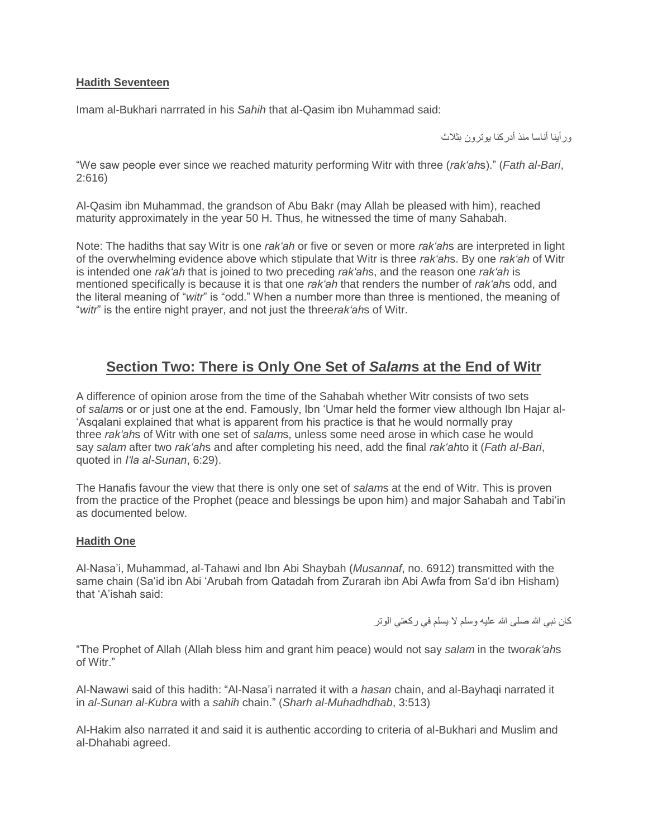## **Hadith Seventeen**

Imam al-Bukhari narrrated in his *Sahih* that al-Qasim ibn Muhammad said:

ورأينا أناسا منذ أدركنا يوترون بثالث

"We saw people ever since we reached maturity performing Witr with three (*rak'ah*s)." (*Fath al-Bari*, 2:616)

Al-Qasim ibn Muhammad, the grandson of Abu Bakr (may Allah be pleased with him), reached maturity approximately in the year 50 H. Thus, he witnessed the time of many Sahabah.

Note: The hadiths that say Witr is one *rak'ah* or five or seven or more *rak'ah*s are interpreted in light of the overwhelming evidence above which stipulate that Witr is three *rak'ah*s. By one *rak'ah* of Witr is intended one *rak'ah* that is joined to two preceding *rak'ah*s, and the reason one *rak'ah* is mentioned specifically is because it is that one *rak'ah* that renders the number of *rak'ah*s odd, and the literal meaning of "*witr*" is "odd." When a number more than three is mentioned, the meaning of "*witr*" is the entire night prayer, and not just the three*rak'ah*s of Witr.

## **Section Two: There is Only One Set of** *Salam***s at the End of Witr**

A difference of opinion arose from the time of the Sahabah whether Witr consists of two sets of *salam*s or or just one at the end. Famously, Ibn 'Umar held the former view although Ibn Hajar al- 'Asqalani explained that what is apparent from his practice is that he would normally pray three *rak'ah*s of Witr with one set of *salam*s, unless some need arose in which case he would say *salam* after two *rak'ah*s and after completing his need, add the final *rak'ah*to it (*Fath al-Bari*, quoted in *I'la al-Sunan*, 6:29).

The Hanafis favour the view that there is only one set of *salam*s at the end of Witr. This is proven from the practice of the Prophet (peace and blessings be upon him) and major Sahabah and Tabi'in as documented below.

#### **Hadith One**

Al-Nasa'i, Muhammad, al-Tahawi and Ibn Abi Shaybah (*Musannaf*, no. 6912) transmitted with the same chain (Sa'id ibn Abi 'Arubah from Qatadah from Zurarah ibn Abi Awfa from Sa'd ibn Hisham) that 'A'ishah said:

كان نبي الله صلى الله عليه وسلم لا يسلم في ركعتي الوتر

"The Prophet of Allah (Allah bless him and grant him peace) would not say *salam* in the two*rak'ah*s of Witr."

Al-Nawawi said of this hadith: "Al-Nasa'i narrated it with a *hasan* chain, and al-Bayhaqi narrated it in *al-Sunan al-Kubra* with a *sahih* chain." (*Sharh al-Muhadhdhab*, 3:513)

Al-Hakim also narrated it and said it is authentic according to criteria of al-Bukhari and Muslim and al-Dhahabi agreed.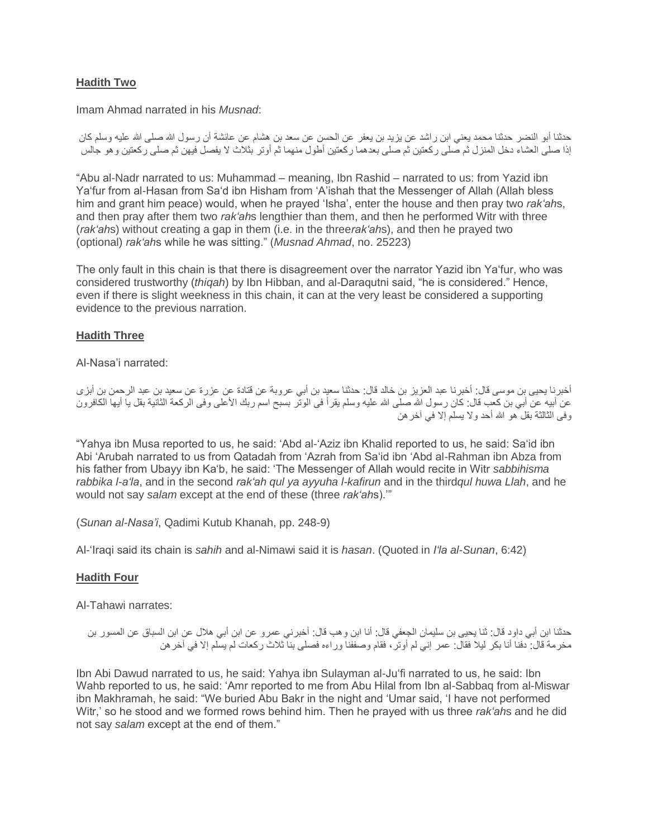## **Hadith Two**

Imam Ahmad narrated in his *Musnad*:

حدثنا أبو النضر حدثنا محمد يعني ابن راشد عن يزيد بن يعفر عن الحسن عن سعد بن هشام عن عائشة أن رسول الله صلى الله عليه وسلم كان إذا صلى العشاء دخل المنزل ثم صلى ركعتين ثم صلى بعدهما ركعتين أطول منهما ثم أوتر بثالث ال يفصل فيهن ثم صلى ركعتين وهو جالس

"Abu al-Nadr narrated to us: Muhammad – meaning, Ibn Rashid – narrated to us: from Yazid ibn Ya'fur from al-Hasan from Sa'd ibn Hisham from 'A'ishah that the Messenger of Allah (Allah bless him and grant him peace) would, when he prayed 'Isha', enter the house and then pray two *rak'ah*s, and then pray after them two *rak'ah*s lengthier than them, and then he performed Witr with three (*rak'ah*s) without creating a gap in them (i.e. in the three*rak'ah*s), and then he prayed two (optional) *rak'ah*s while he was sitting." (*Musnad Ahmad*, no. 25223)

The only fault in this chain is that there is disagreement over the narrator Yazid ibn Ya'fur, who was considered trustworthy (*thiqah*) by Ibn Hibban, and al-Daraqutni said, "he is considered." Hence, even if there is slight weekness in this chain, it can at the very least be considered a supporting evidence to the previous narration.

## **Hadith Three**

Al-Nasa'i narrated:

أخبرنا يحيى بن موسى قال: أخبرنا عبد العزيز بن خالد قال: حدثنا سعيد بن أبي عروبة عن قتادة عن عزرة عن سعيد بن عبد الرحمن بن أبزى عن أبيه عن أبي بن كعب قال: كان رسول الله صلى الله عليه وسلم يقرأ فى الوتّر بسبح اسم ربك الأعلى وفى الركعة الثانية بقل يا أيها الكافرون وفى الثالثة بقل هو الله أحد والا يسلم إلا في آخر هن

"Yahya ibn Musa reported to us, he said: 'Abd al-'Aziz ibn Khalid reported to us, he said: Sa'id ibn Abi 'Arubah narrated to us from Qatadah from 'Azrah from Sa'id ibn 'Abd al-Rahman ibn Abza from his father from Ubayy ibn Ka'b, he said: 'The Messenger of Allah would recite in Witr *sabbihisma rabbika l-a'la*, and in the second *rak'ah qul ya ayyuha l-kafirun* and in the third*qul huwa Llah*, and he would not say *salam* except at the end of these (three *rak'ah*s).'"

(*Sunan al-Nasa'i*, Qadimi Kutub Khanah, pp. 248-9)

Al-'Iraqi said its chain is *sahih* and al-Nimawi said it is *hasan*. (Quoted in *I'la al-Sunan*, 6:42)

#### **Hadith Four**

Al-Tahawi narrates:

```
حدثنا ابن أبي داود قال: ثنا يحيى بن سليمان الجعفي قال: أنا ابن وهب قال: أخبرني عمرو عن ابن أبي هالل عن ابن السباق عن المسور بن 
       مخرمة قال: دفنا أنا بكر ليال فقال: عمر إني لم أوتر، فقام وصففنا وراءه فصلى بنا ثالث ركعات لم يسلم إال في آخرهن
```
Ibn Abi Dawud narrated to us, he said: Yahya ibn Sulayman al-Ju'fi narrated to us, he said: Ibn Wahb reported to us, he said: 'Amr reported to me from Abu Hilal from Ibn al-Sabbaq from al-Miswar ibn Makhramah, he said: "We buried Abu Bakr in the night and 'Umar said, 'I have not performed Witr,' so he stood and we formed rows behind him. Then he prayed with us three *rak'ah*s and he did not say *salam* except at the end of them."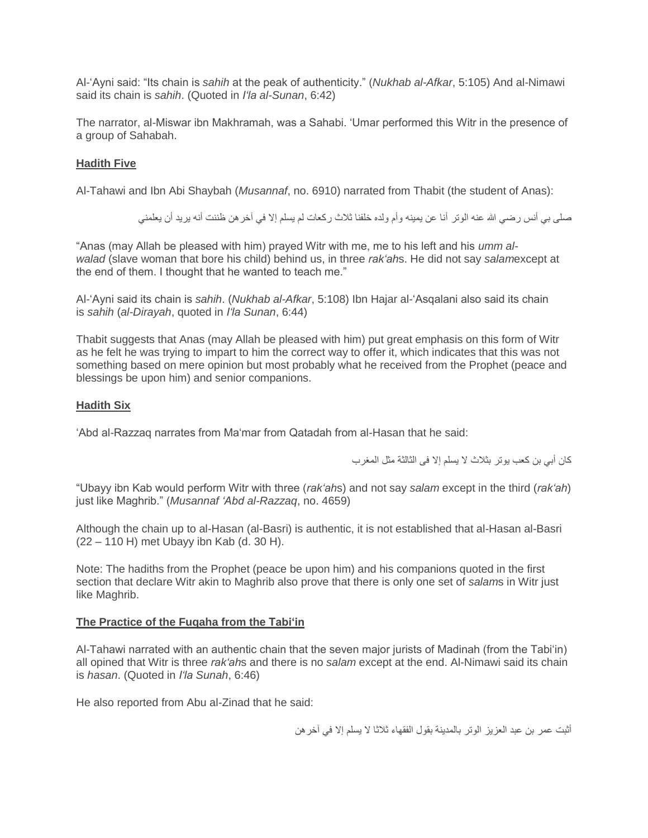Al-'Ayni said: "Its chain is *sahih* at the peak of authenticity." (*Nukhab al-Afkar*, 5:105) And al-Nimawi said its chain is *sahih*. (Quoted in *I'la al-Sunan*, 6:42)

The narrator, al-Miswar ibn Makhramah, was a Sahabi. 'Umar performed this Witr in the presence of a group of Sahabah.

## **Hadith Five**

Al-Tahawi and Ibn Abi Shaybah (*Musannaf*, no. 6910) narrated from Thabit (the student of Anas):

صلى بي أنس رضي الله عنه الوتر أنا عن يمينه وأم ولده خلفنا ثلاث ركعات لم يسلم إلا في آخر هن ظننت أنه يريد أن يعلمني

"Anas (may Allah be pleased with him) prayed Witr with me, me to his left and his *umm alwalad* (slave woman that bore his child) behind us, in three *rak'ah*s. He did not say *salam*except at the end of them. I thought that he wanted to teach me."

Al-'Ayni said its chain is *sahih*. (*Nukhab al-Afkar*, 5:108) Ibn Hajar al-'Asqalani also said its chain is *sahih* (*al-Dirayah*, quoted in *I'la Sunan*, 6:44)

Thabit suggests that Anas (may Allah be pleased with him) put great emphasis on this form of Witr as he felt he was trying to impart to him the correct way to offer it, which indicates that this was not something based on mere opinion but most probably what he received from the Prophet (peace and blessings be upon him) and senior companions.

## **Hadith Six**

'Abd al-Razzaq narrates from Ma'mar from Qatadah from al-Hasan that he said:

كان أبي بن كعب يوتر بثالث ال يسلم إال فى الثالثة مثل المغرب

"Ubayy ibn Kab would perform Witr with three (*rak'ah*s) and not say *salam* except in the third (*rak'ah*) just like Maghrib." (*Musannaf 'Abd al-Razzaq*, no. 4659)

Although the chain up to al-Hasan (al-Basri) is authentic, it is not established that al-Hasan al-Basri (22 – 110 H) met Ubayy ibn Kab (d. 30 H).

Note: The hadiths from the Prophet (peace be upon him) and his companions quoted in the first section that declare Witr akin to Maghrib also prove that there is only one set of *salam*s in Witr just like Maghrib.

## **The Practice of the Fuqaha from the Tabi'in**

Al-Tahawi narrated with an authentic chain that the seven major jurists of Madinah (from the Tabi'in) all opined that Witr is three *rak'ah*s and there is no *salam* except at the end. Al-Nimawi said its chain is *hasan*. (Quoted in *I'la Sunah*, 6:46)

He also reported from Abu al-Zinad that he said:

أثبت عمر بن عبد العزيز الوتر بالمدينة بقول الفقهاء ثالثا ال يسلم إال في آخرهن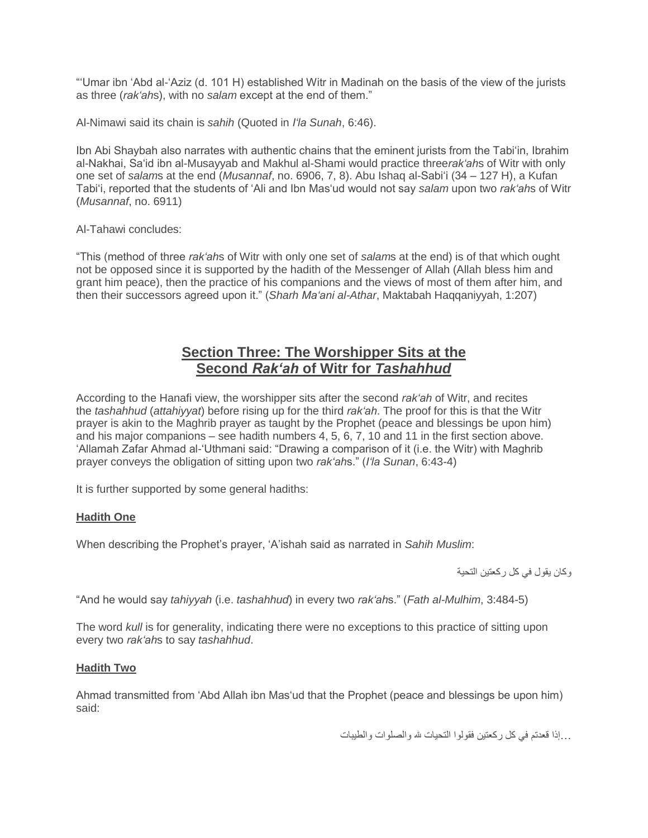"'Umar ibn 'Abd al-'Aziz (d. 101 H) established Witr in Madinah on the basis of the view of the jurists as three (*rak'ah*s), with no *salam* except at the end of them."

Al-Nimawi said its chain is *sahih* (Quoted in *I'la Sunah*, 6:46).

Ibn Abi Shaybah also narrates with authentic chains that the eminent jurists from the Tabi'in, Ibrahim al-Nakhai, Sa'id ibn al-Musayyab and Makhul al-Shami would practice three*rak'ah*s of Witr with only one set of *salam*s at the end (*Musannaf*, no. 6906, 7, 8). Abu Ishaq al-Sabi'i (34 – 127 H), a Kufan Tabi'i, reported that the students of 'Ali and Ibn Mas'ud would not say *salam* upon two *rak'ah*s of Witr (*Musannaf*, no. 6911)

Al-Tahawi concludes:

"This (method of three *rak'ah*s of Witr with only one set of *salam*s at the end) is of that which ought not be opposed since it is supported by the hadith of the Messenger of Allah (Allah bless him and grant him peace), then the practice of his companions and the views of most of them after him, and then their successors agreed upon it." (*Sharh Ma'ani al-Athar*, Maktabah Haqqaniyyah, 1:207)

## **Section Three: The Worshipper Sits at the Second** *Rak'ah* **of Witr for** *Tashahhud*

According to the Hanafi view, the worshipper sits after the second *rak'ah* of Witr, and recites the *tashahhud* (*attahiyyat*) before rising up for the third *rak'ah*. The proof for this is that the Witr prayer is akin to the Maghrib prayer as taught by the Prophet (peace and blessings be upon him) and his major companions – see hadith numbers 4, 5, 6, 7, 10 and 11 in the first section above. 'Allamah Zafar Ahmad al-'Uthmani said: "Drawing a comparison of it (i.e. the Witr) with Maghrib prayer conveys the obligation of sitting upon two *rak'ah*s." (*I'la Sunan*, 6:43-4)

It is further supported by some general hadiths:

## **Hadith One**

When describing the Prophet's prayer, 'A'ishah said as narrated in *Sahih Muslim*:

وكان يقول في كل ركعتين التحية

"And he would say *tahiyyah* (i.e. *tashahhud*) in every two *rak'ah*s." (*Fath al-Mulhim*, 3:484-5)

The word *kull* is for generality, indicating there were no exceptions to this practice of sitting upon every two *rak'ah*s to say *tashahhud*.

## **Hadith Two**

Ahmad transmitted from 'Abd Allah ibn Mas'ud that the Prophet (peace and blessings be upon him) said:

...إذا قعدتم في كل ركعتين فقولوا التحيات هلل والصلوات والطيبات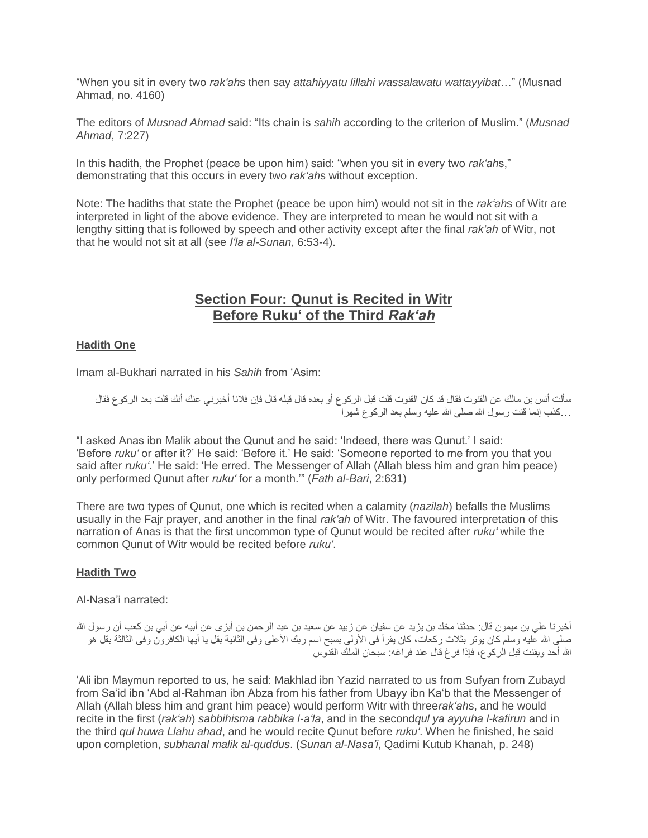"When you sit in every two *rak'ah*s then say *attahiyyatu lillahi wassalawatu wattayyibat*…" (Musnad Ahmad, no. 4160)

The editors of *Musnad Ahmad* said: "Its chain is *sahih* according to the criterion of Muslim." (*Musnad Ahmad*, 7:227)

In this hadith, the Prophet (peace be upon him) said: "when you sit in every two *rak'ah*s," demonstrating that this occurs in every two *rak'ah*s without exception.

Note: The hadiths that state the Prophet (peace be upon him) would not sit in the *rak'ah*s of Witr are interpreted in light of the above evidence. They are interpreted to mean he would not sit with a lengthy sitting that is followed by speech and other activity except after the final *rak'ah* of Witr, not that he would not sit at all (see *I'la al-Sunan*, 6:53-4).

## **Section Four: Qunut is Recited in Witr Before Ruku' of the Third** *Rak'ah*

## **Hadith One**

Imam al-Bukhari narrated in his *Sahih* from 'Asim:

سألت أنس بن مالك عن القنوت فقال قد كان القنوت قلت قبل الركوع أو بعده قال قبله قال فإن فالنا أخبرني عنك أنك قلت بعد الركوع فقال ...كذب إنما قنت رسول الله صلى الله عليه وسلم بعد الركوع شهرا

"I asked Anas ibn Malik about the Qunut and he said: 'Indeed, there was Qunut.' I said: 'Before *ruku'* or after it?' He said: 'Before it.' He said: 'Someone reported to me from you that you said after *ruku'*.' He said: 'He erred. The Messenger of Allah (Allah bless him and gran him peace) only performed Qunut after *ruku'* for a month.'" (*Fath al-Bari*, 2:631)

There are two types of Qunut, one which is recited when a calamity (*nazilah*) befalls the Muslims usually in the Fajr prayer, and another in the final *rak'ah* of Witr. The favoured interpretation of this narration of Anas is that the first uncommon type of Qunut would be recited after *ruku'* while the common Qunut of Witr would be recited before *ruku'*.

## **Hadith Two**

Al-Nasa'i narrated:

أخبرنا علي بن ميمون قال: حدثنا مخلد بن يزيد عن سفيان عن زبيد عن سعيد بن عبد الرحمن بن أبزى عن أبيه عن أبي بن كعب أن رسول الله صلى الله عليه وسلم كان يوتر بثلاث ركعات، كان يقرأ فى الأولى بسبح اسم ربك الأعلى وفى الثانية بقل يا أيها الكافرون وفى الثالثة بقل هو الله أحد ويقنت قبل الركوع، فإذا فرغ قال عند فراغه: سبحان الملك القدوس ٰ

'Ali ibn Maymun reported to us, he said: Makhlad ibn Yazid narrated to us from Sufyan from Zubayd from Sa'id ibn 'Abd al-Rahman ibn Abza from his father from Ubayy ibn Ka'b that the Messenger of Allah (Allah bless him and grant him peace) would perform Witr with three*rak'ah*s, and he would recite in the first (*rak'ah*) *sabbihisma rabbika l-a'la*, and in the second*qul ya ayyuha l-kafirun* and in the third *qul huwa Llahu ahad*, and he would recite Qunut before *ruku'*. When he finished, he said upon completion, *subhanal malik al-quddus*. (*Sunan al-Nasa'i*, Qadimi Kutub Khanah, p. 248)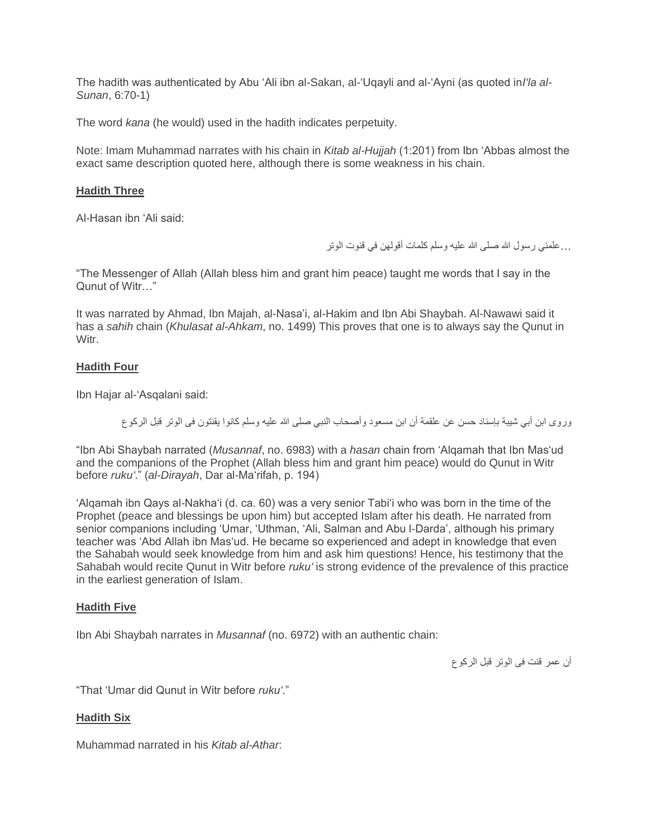The hadith was authenticated by Abu 'Ali ibn al-Sakan, al-'Uqayli and al-'Ayni (as quoted in*I'la al-Sunan*, 6:70-1)

The word *kana* (he would) used in the hadith indicates perpetuity.

Note: Imam Muhammad narrates with his chain in *Kitab al-Hujjah* (1:201) from Ibn 'Abbas almost the exact same description quoted here, although there is some weakness in his chain.

#### **Hadith Three**

Al-Hasan ibn 'Ali said:

...علمني رسول الله صلى الله عليه وسلم كلمات أقولهن في قنوت الوتر

"The Messenger of Allah (Allah bless him and grant him peace) taught me words that I say in the Qunut of Witr…"

It was narrated by Ahmad, Ibn Majah, al-Nasa'i, al-Hakim and Ibn Abi Shaybah. Al-Nawawi said it has a *sahih* chain (*Khulasat al-Ahkam*, no. 1499) This proves that one is to always say the Qunut in Witr.

#### **Hadith Four**

Ibn Hajar al-'Asqalani said:

ور وي ابن أبي شببة بإسناد حسن عن علقمة أن ابن مسعود وأصحاب النبي صلى الله عليه وسلم كانوا يقنتون فى الوتر قبل الركوع

"Ibn Abi Shaybah narrated (*Musannaf*, no. 6983) with a *hasan* chain from 'Alqamah that Ibn Mas'ud and the companions of the Prophet (Allah bless him and grant him peace) would do Qunut in Witr before *ruku'*." (*al-Dirayah*, Dar al-Ma'rifah, p. 194)

'Alqamah ibn Qays al-Nakha'i (d. ca. 60) was a very senior Tabi'i who was born in the time of the Prophet (peace and blessings be upon him) but accepted Islam after his death. He narrated from senior companions including 'Umar, 'Uthman, 'Ali, Salman and Abu l-Darda', although his primary teacher was 'Abd Allah ibn Mas'ud. He became so experienced and adept in knowledge that even the Sahabah would seek knowledge from him and ask him questions! Hence, his testimony that the Sahabah would recite Qunut in Witr before *ruku'* is strong evidence of the prevalence of this practice in the earliest generation of Islam.

#### **Hadith Five**

Ibn Abi Shaybah narrates in *Musannaf* (no. 6972) with an authentic chain:

أن عمر قنت فى الوتر قبل الركوع

"That 'Umar did Qunut in Witr before *ruku'*."

#### **Hadith Six**

Muhammad narrated in his *Kitab al-Athar*: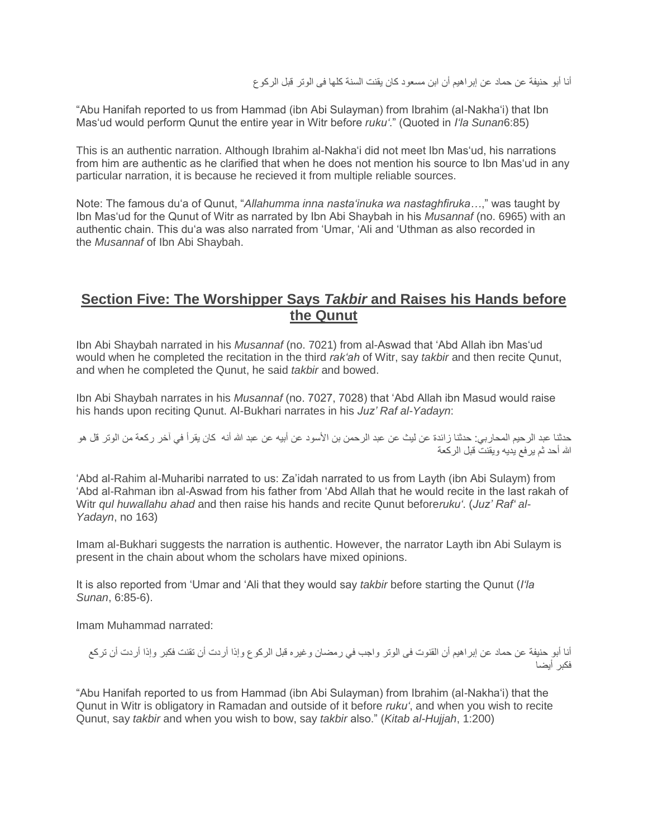أنا أبو حنيفة عن حماد عن إبراهيم أن ابن مسعود كان يقنت السنة كلها فى الوتر قبل الركوع

"Abu Hanifah reported to us from Hammad (ibn Abi Sulayman) from Ibrahim (al-Nakha'i) that Ibn Mas'ud would perform Qunut the entire year in Witr before *ruku'*." (Quoted in *I'la Sunan*6:85)

This is an authentic narration. Although Ibrahim al-Nakha'i did not meet Ibn Mas'ud, his narrations from him are authentic as he clarified that when he does not mention his source to Ibn Mas'ud in any particular narration, it is because he recieved it from multiple reliable sources.

Note: The famous du'a of Qunut, "*Allahumma inna nasta'inuka wa nastaghfiruka…*," was taught by Ibn Mas'ud for the Qunut of Witr as narrated by Ibn Abi Shaybah in his *Musannaf* (no. 6965) with an authentic chain. This du'a was also narrated from 'Umar, 'Ali and 'Uthman as also recorded in the *Musannaf* of Ibn Abi Shaybah.

## **Section Five: The Worshipper Says** *Takbir* **and Raises his Hands before the Qunut**

Ibn Abi Shaybah narrated in his *Musannaf* (no. 7021) from al-Aswad that 'Abd Allah ibn Mas'ud would when he completed the recitation in the third *rak'ah* of Witr, say *takbir* and then recite Qunut, and when he completed the Qunut, he said *takbir* and bowed.

Ibn Abi Shaybah narrates in his *Musannaf* (no. 7027, 7028) that 'Abd Allah ibn Masud would raise his hands upon reciting Qunut. Al-Bukhari narrates in his *Juz' Raf al-Yadayn*:

حدثنا عبد الرحيم المحاربي: حدثنا زائدة عن ليث عن عبد الرحمن بن الأسود عن أبيه عن عبد الله أنه كان يقرأ في آخر ركعة من الوتر قل هو الله أحد ثم يرفع يديه ويقنت قبل الركعة

'Abd al-Rahim al-Muharibi narrated to us: Za'idah narrated to us from Layth (ibn Abi Sulaym) from 'Abd al-Rahman ibn al-Aswad from his father from 'Abd Allah that he would recite in the last rakah of Witr *qul huwallahu ahad* and then raise his hands and recite Qunut before*ruku'*. (*Juz' Raf' al-Yadayn*, no 163)

Imam al-Bukhari suggests the narration is authentic. However, the narrator Layth ibn Abi Sulaym is present in the chain about whom the scholars have mixed opinions.

It is also reported from 'Umar and 'Ali that they would say *takbir* before starting the Qunut (*I'la Sunan*, 6:85-6).

Imam Muhammad narrated:

أنا أبو حنيفة عن حماد عن إبراهيم أن القنوت فى الوتر واجب في رمضان وغيره قبل الركوع وإذا أردت أن تقنت فكبر وإذا أردت أن تركع فكبر أيضا

"Abu Hanifah reported to us from Hammad (ibn Abi Sulayman) from Ibrahim (al-Nakha'i) that the Qunut in Witr is obligatory in Ramadan and outside of it before *ruku'*, and when you wish to recite Qunut, say *takbir* and when you wish to bow, say *takbir* also." (*Kitab al-Hujjah*, 1:200)